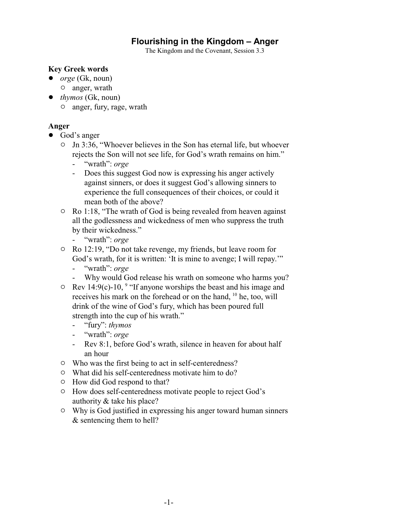# **Flourishing in the Kingdom – Anger**

The Kingdom and the Covenant, Session 3.3

### **Key Greek words**

- ! *orge* (Gk, noun)
	- $\circ$  anger, wrath
- ! *thymos* (Gk, noun)
	- $\circ$  anger, fury, rage, wrath

## **Anger**

- God's anger
	- <sup>o</sup> Jn 3:36, "Whoever believes in the Son has eternal life, but whoever rejects the Son will not see life, for God's wrath remains on him."
		- "wrath": *orge*
		- Does this suggest God now is expressing his anger actively against sinners, or does it suggest God's allowing sinners to experience the full consequences of their choices, or could it mean both of the above?
	- $\circ$  Ro 1:18, "The wrath of God is being revealed from heaven against all the godlessness and wickedness of men who suppress the truth by their wickedness."
		- "wrath": *orge*
	- <sup>o</sup> Ro 12:19, "Do not take revenge, my friends, but leave room for God's wrath, for it is written: 'It is mine to avenge; I will repay.'"
		- "wrath": *orge*
		- Why would God release his wrath on someone who harms you?
	- $\degree$  Rev 14:9(c)-10,  $\degree$  "If anyone worships the beast and his image and receives his mark on the forehead or on the hand, <sup>10</sup> he, too, will drink of the wine of God's fury, which has been poured full strength into the cup of his wrath."
		- "fury": *thymos*
		- "wrath": *orge*
		- Rev 8:1, before God's wrath, silence in heaven for about half an hour
	- $\circ$  Who was the first being to act in self-centeredness?
	- $\circ$  What did his self-centeredness motivate him to do?
	- $\circ$  How did God respond to that?
	- <sup>o</sup> How does self-centeredness motivate people to reject God's authority & take his place?
	- $\circ$  Why is God justified in expressing his anger toward human sinners & sentencing them to hell?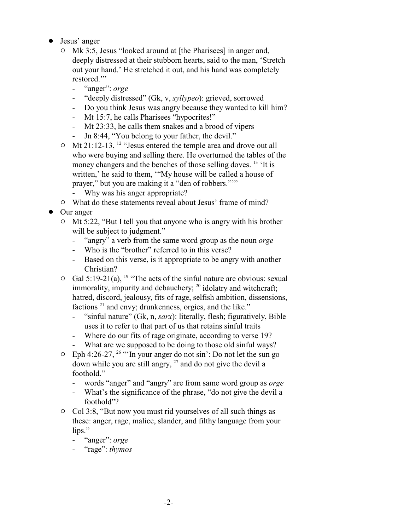- Jesus' anger
	- <sup>o</sup> Mk 3:5, Jesus "looked around at [the Pharisees] in anger and, deeply distressed at their stubborn hearts, said to the man, 'Stretch out your hand.' He stretched it out, and his hand was completely restored."
		- "anger": *orge*
		- "deeply distressed" (Gk, v, *syllypeo*): grieved, sorrowed
		- Do you think Jesus was angry because they wanted to kill him?
		- Mt 15:7, he calls Pharisees "hypocrites!"
		- Mt 23:33, he calls them snakes and a brood of vipers
		- Jn 8:44, "You belong to your father, the devil."
	- $\circ$  Mt 21:12-13, <sup>12</sup> "Jesus entered the temple area and drove out all who were buying and selling there. He overturned the tables of the money changers and the benches of those selling doves. <sup>13</sup> 'It is written,' he said to them, '"My house will be called a house of prayer," but you are making it a "den of robbers."'"
		- Why was his anger appropriate?
	- $\circ$  What do these statements reveal about Jesus' frame of mind?
- Our anger
	- $\circ$  Mt 5:22, "But I tell you that anyone who is angry with his brother will be subject to judgment."
		- "angry" a verb from the same word group as the noun *orge*
		- Who is the "brother" referred to in this verse?
		- Based on this verse, is it appropriate to be angry with another Christian?
	- $\circ$  Gal 5:19-21(a), <sup>19</sup> "The acts of the sinful nature are obvious: sexual immorality, impurity and debauchery; <sup>20</sup> idolatry and witchcraft; hatred, discord, jealousy, fits of rage, selfish ambition, dissensions, factions<sup>21</sup> and envy; drunkenness, orgies, and the like."
		- "sinful nature" (Gk, n, *sarx*): literally, flesh; figuratively, Bible uses it to refer to that part of us that retains sinful traits
		- Where do our fits of rage originate, according to verse 19?
		- What are we supposed to be doing to those old sinful ways?
	- $\degree$  Eph 4:26-27, <sup>26</sup> "In your anger do not sin': Do not let the sun go down while you are still angry, <sup>27</sup> and do not give the devil a foothold."
		- words "anger" and "angry" are from same word group as *orge*
		- What's the significance of the phrase, "do not give the devil a foothold"?
	- $\circ$  Col 3:8, "But now you must rid yourselves of all such things as these: anger, rage, malice, slander, and filthy language from your lips."
		- "anger": *orge*
		- "rage": *thymos*